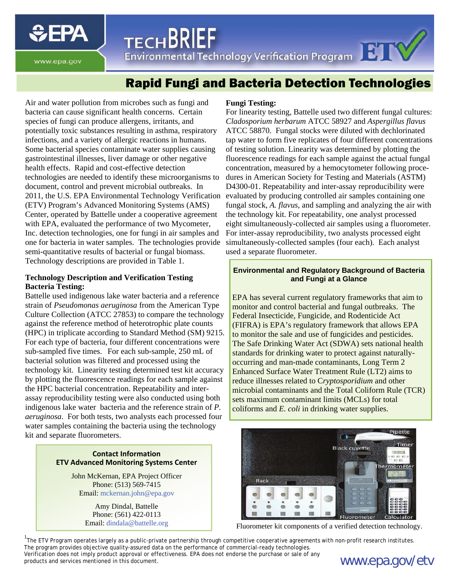**SEPA** 

TECHDNILE<br>Environmental Technology Verification Program

**TECHBRIEF** 

www.epa.gov

# Rapid Fungi and Bacteria Detection Technologies

Air and water pollution from microbes such as fungi and bacteria can cause significant health concerns. Certain species of fungi can produce allergens, irritants, and potentially toxic substances resulting in asthma, respiratory infections, and a variety of allergic reactions in humans. Some bacterial species contaminate water supplies causing gastrointestinal illnesses, liver damage or other negative health effects. Rapid and cost-effective detection technologies are needed to identify these microorganisms to document, control and prevent microbial outbreaks. In (ETV) Program's Advanced Monitoring Systems (AMS) Center, operated by Battelle under a cooperative agreement with EPA, evaluated the performance of two Mycometer, Inc. detection technologies, one for fungi in air samples and one for bacteria in water samples. The technologies provide semi-quantitative results of bacterial or fungal biomass. Technology descriptions are provided in Table 1.

## **Technology Description and Verification Testing Bacteria Testing:**

Battelle used indigenous lake water bacteria and a reference strain of *Pseudomonas aeruginosa* from the American Type Culture Collection (ATCC 27853) to compare the technology against the reference method of heterotrophic plate counts (HPC) in triplicate according to Standard Method (SM) 9215. For each type of bacteria, four different concentrations were sub-sampled five times. For each sub-sample, 250 mL of bacterial solution was filtered and processed using the technology kit. Linearity testing determined test kit accuracy by plotting the fluorescence readings for each sample against the HPC bacterial concentration. Repeatability and interassay reproducibility testing were also conducted using both indigenous lake water bacteria and the reference strain of *P. aeruginosa*. For both tests, two analysts each processed four water samples containing the bacteria using the technology kit and separate fluorometers.

#### **Contact Information ETV Advanced Monitoring Systems Center**

John McKernan, EPA Project Officer Phone: (513) 569-7415 Email: [mckernan.john@epa.gov](mailto:mckernan.john@epa.gov) 

> Amy Dindal, Battelle Phone: (561) 422-0113 Email: [dindala@battelle.org](mailto:dindala@battelle.org)

#### **Fungi Testing:**

2011, the U.S. EPA Environmental Technology Verification evaluated by producing controlled air samples containing one For linearity testing, Battelle used two different fungal cultures: *Cladosporium herbarum* ATCC 58927 and *Aspergillus flavus*  ATCC 58870. Fungal stocks were diluted with dechlorinated tap water to form five replicates of four different concentrations of testing solution. Linearity was determined by plotting the fluorescence readings for each sample against the actual fungal concentration, measured by a hemocytometer following procedures in American Society for Testing and Materials (ASTM) D4300-01. Repeatability and inter-assay reproducibility were fungal stock, *A. flavus*, and sampling and analyzing the air with the technology kit. For repeatability, one analyst processed eight simultaneously-collected air samples using a fluorometer. For inter-assay reproducibility, two analysts processed eight simultaneously-collected samples (four each). Each analyst used a separate fluorometer.

### **Environmental and Regulatory Background of Bacteria and Fungi at a Glance**

EPA has several current regulatory frameworks that aim to monitor and control bacterial and fungal outbreaks. The Federal Insecticide, Fungicide, and Rodenticide Act (FIFRA) is EPA's regulatory framework that allows EPA to monitor the sale and use of fungicides and pesticides. The Safe Drinking Water Act (SDWA) sets national health standards for drinking water to protect against naturallyoccurring and man-made contaminants, Long Term 2 Enhanced Surface Water Treatment Rule (LT2) aims to reduce illnesses related to C*ryptosporidium* and other microbial contaminants and the Total Coliform Rule (TCR) sets maximum contaminant limits (MCLs) for total coliforms and *E. coli* in drinking water supplies.



Fluorometer kit components of a verified detection technology.

<sup>1</sup>The ETV Program operates largely as a public-private partnership through competitive cooperative agreements with non-profit research institutes. The program provides objective quality-assured data on the performance of commercial-ready technologies.

Verification does not imply product approval or effectiveness. EPA does not endorse the purchase or sale of any **www.epa.gov/etv**<br>products and services mentioned in this document.